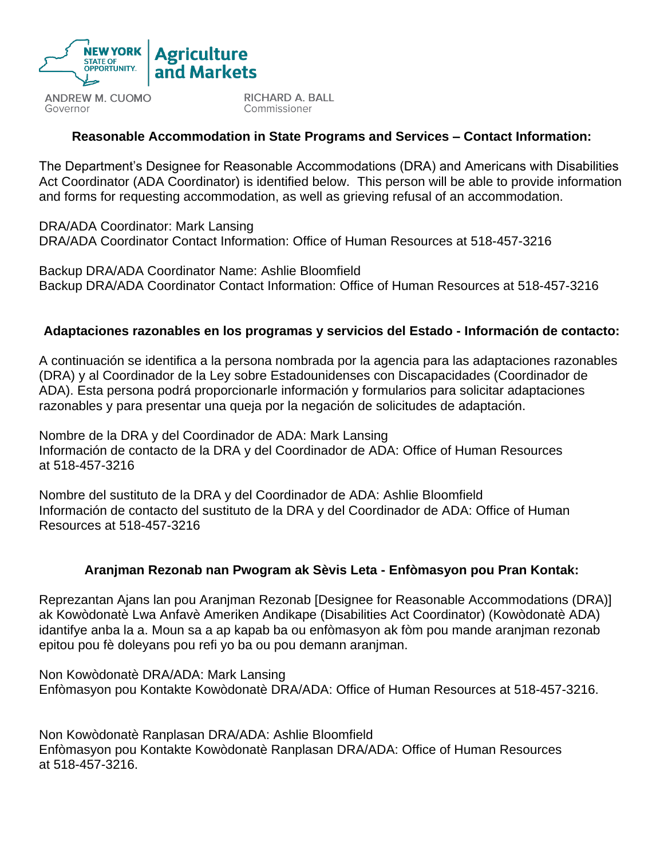

**ANDREW M. CUOMO** Governor

RICHARD A. BALL Commissioner

## **Reasonable Accommodation in State Programs and Services – Contact Information:**

The Department's Designee for Reasonable Accommodations (DRA) and Americans with Disabilities Act Coordinator (ADA Coordinator) is identified below. This person will be able to provide information and forms for requesting accommodation, as well as grieving refusal of an accommodation.

DRA/ADA Coordinator: Mark Lansing DRA/ADA Coordinator Contact Information: Office of Human Resources at 518-457-3216

Backup DRA/ADA Coordinator Name: Ashlie Bloomfield Backup DRA/ADA Coordinator Contact Information: Office of Human Resources at 518-457-3216

### **Adaptaciones razonables en los programas y servicios del Estado - Información de contacto:**

A continuación se identifica a la persona nombrada por la agencia para las adaptaciones razonables (DRA) y al Coordinador de la Ley sobre Estadounidenses con Discapacidades (Coordinador de ADA). Esta persona podrá proporcionarle información y formularios para solicitar adaptaciones razonables y para presentar una queja por la negación de solicitudes de adaptación.

Nombre de la DRA y del Coordinador de ADA: Mark Lansing Información de contacto de la DRA y del Coordinador de ADA: Office of Human Resources at 518-457-3216

Nombre del sustituto de la DRA y del Coordinador de ADA: Ashlie Bloomfield Información de contacto del sustituto de la DRA y del Coordinador de ADA: Office of Human Resources at 518-457-3216

#### **Aranjman Rezonab nan Pwogram ak Sèvis Leta - Enfòmasyon pou Pran Kontak:**

Reprezantan Ajans lan pou Aranjman Rezonab [Designee for Reasonable Accommodations (DRA)] ak Kowòdonatè Lwa Anfavè Ameriken Andikape (Disabilities Act Coordinator) (Kowòdonatè ADA) idantifye anba la a. Moun sa a ap kapab ba ou enfòmasyon ak fòm pou mande aranjman rezonab epitou pou fè doleyans pou refi yo ba ou pou demann aranjman.

Non Kowòdonatè DRA/ADA: Mark Lansing Enfòmasyon pou Kontakte Kowòdonatè DRA/ADA: Office of Human Resources at 518-457-3216.

Non Kowòdonatè Ranplasan DRA/ADA: Ashlie Bloomfield Enfòmasyon pou Kontakte Kowòdonatè Ranplasan DRA/ADA: Office of Human Resources at 518-457-3216.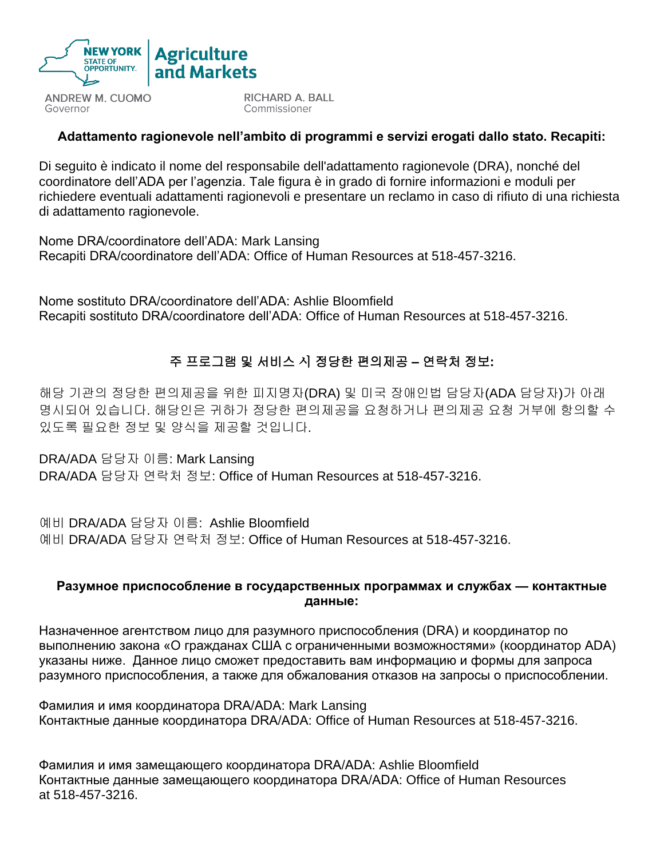

**ANDREW M. CUOMO** Governor

**RICHARD A. BALL** Commissioner

### **Adattamento ragionevole nell'ambito di programmi e servizi erogati dallo stato. Recapiti:**

Di seguito è indicato il nome del responsabile dell'adattamento ragionevole (DRA), nonché del coordinatore dell'ADA per l'agenzia. Tale figura è in grado di fornire informazioni e moduli per richiedere eventuali adattamenti ragionevoli e presentare un reclamo in caso di rifiuto di una richiesta di adattamento ragionevole.

Nome DRA/coordinatore dell'ADA: Mark Lansing Recapiti DRA/coordinatore dell'ADA: Office of Human Resources at 518-457-3216.

Nome sostituto DRA/coordinatore dell'ADA: Ashlie Bloomfield Recapiti sostituto DRA/coordinatore dell'ADA: Office of Human Resources at 518-457-3216.

## 주 프로그램 및 서비스 시 정당한 편의제공 **–** 연락처 정보**:**

해당 기관의 정당한 편의제공을 위한 피지명자(DRA) 및 미국 장애인법 담당자(ADA 담당자)가 아래 명시되어 있습니다. 해당인은 귀하가 정당한 편의제공을 요청하거나 편의제공 요청 거부에 항의할 수 있도록 필요한 정보 및 양식을 제공할 것입니다.

DRA/ADA 담당자 이름: Mark Lansing DRA/ADA 담당자 연락처 정보: Office of Human Resources at 518-457-3216.

예비 DRA/ADA 담당자 이름: Ashlie Bloomfield 예비 DRA/ADA 담당자 연락처 정보: Office of Human Resources at 518-457-3216.

#### **Разумное приспособление в государственных программах и службах — контактные данные:**

Назначенное агентством лицо для разумного приспособления (DRA) и координатор по выполнению закона «О гражданах США с ограниченными возможностями» (координатор ADA) указаны ниже. Данное лицо сможет предоставить вам информацию и формы для запроса разумного приспособления, а также для обжалования отказов на запросы о приспособлении.

Фамилия и имя координатора DRA/ADA: Mark Lansing Контактные данные координатора DRA/ADA: Office of Human Resources at 518-457-3216.

Фамилия и имя замещающего координатора DRA/ADA: Ashlie Bloomfield Контактные данные замещающего координатора DRA/ADA: Office of Human Resources at 518-457-3216.